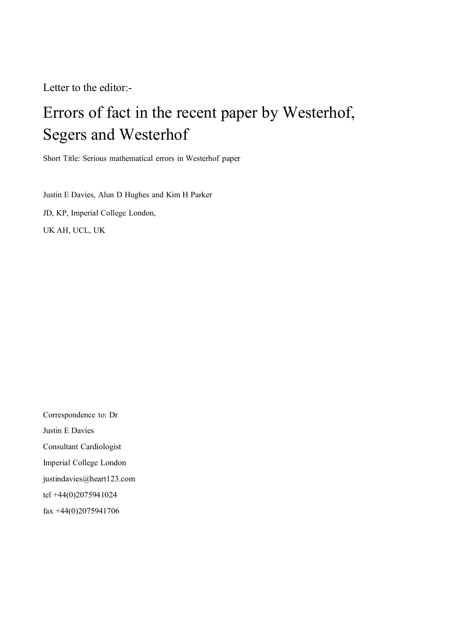Letter to the editor:-

## Errors of fact in the recent paper by Westerhof, Segers and Westerhof

Short Title: Serious mathematical errors in Westerhof paper

Justin E Davies, Alun D Hughes and Kim H Parker JD, KP, Imperial College London, UK AH, UCL, UK

Correspondence to: Dr Justin E Davies Consultant Cardiologist Imperial College London justindavies@heart123.com tel +44(0)2075941024 fax [+44\(0\)2075941706](mailto:justindavies@heart123.com)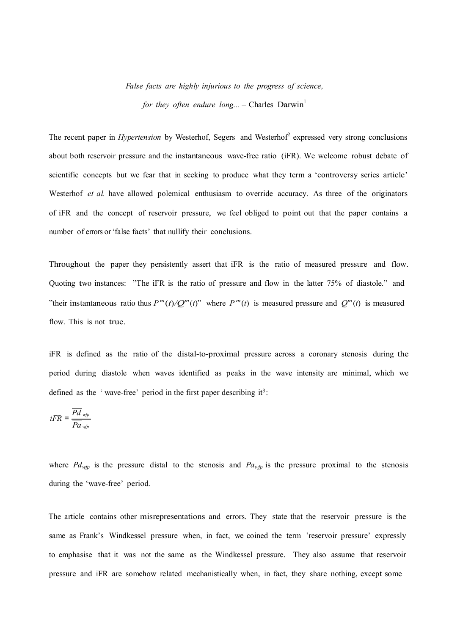## *False facts are highly injurious to the progress of science,*

*for they often endure long...* – Charles  $Darwin<sup>1</sup>$ 

The recent paper in *Hypertension* by Westerhof, Segers and Westerhof<sup>2</sup> expressed very strong conclusions about both reservoir pressure and the instantaneous wave-free ratio (iFR). We welcome robust debate of scientific concepts but we fear that in seeking to produce what they term a 'controversy series article' Westerhof *et al.* have allowed polemical enthusiasm to override accuracy. As three of the originators of iFR and the concept of reservoir pressure, we feel obliged to point out that the paper contains a number of errors or'false facts' that nullify their conclusions.

Throughout the paper they persistently assert that iFR is the ratio of measured pressure and flow. Quoting two instances: "The iFR is the ratio of pressure and flow in the latter 75% of diastole." and "their instantaneous ratio thus  $P^m(t)/Q^m(t)$ " where  $P^m(t)$  is measured pressure and  $Q^m(t)$  is measured flow. This is not true.

iFR is defined as the ratio of the distal-to-proximal pressure across a coronary stenosis during the period during diastole when waves identified as peaks in the wave intensity are minimal, which we defined as the 'wave-free' period in the first paper describing  $it^3$ :

$$
iFR = \frac{P d_{wfp}}{P a_{wfp}}
$$

where  $Pd_{wfp}$  is the pressure distal to the stenosis and  $Pa_{wfp}$  is the pressure proximal to the stenosis during the 'wave-free' period.

The article contains other misrepresentations and errors. They state that the reservoir pressure is the same as Frank's Windkessel pressure when, in fact, we coined the term 'reservoir pressure' expressly to emphasise that it was not the same as the Windkessel pressure. They also assume that reservoir pressure and iFR are somehow related mechanistically when, in fact, they share nothing, except some